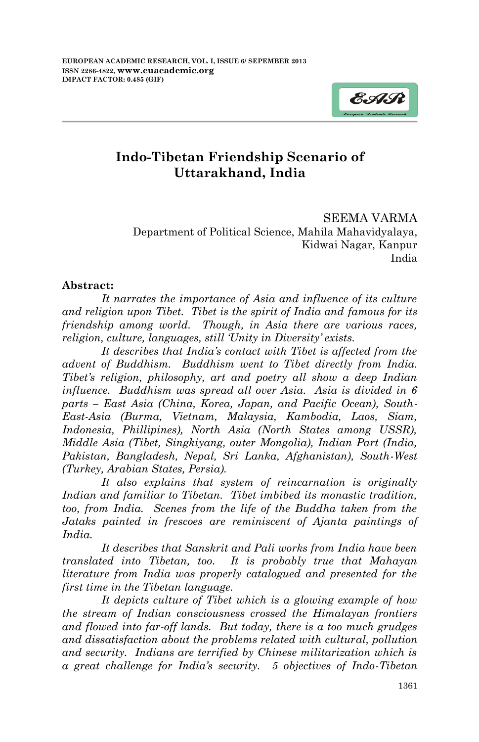

# **Indo-Tibetan Friendship Scenario of Uttarakhand, India**

SEEMA VARMA Department of Political Science, Mahila Mahavidyalaya, Kidwai Nagar, Kanpur India

#### **Abstract:**

*It narrates the importance of Asia and influence of its culture and religion upon Tibet. Tibet is the spirit of India and famous for its friendship among world. Though, in Asia there are various races, religion, culture, languages, still 'Unity in Diversity' exists.* 

*It describes that India's contact with Tibet is affected from the advent of Buddhism. Buddhism went to Tibet directly from India. Tibet's religion, philosophy, art and poetry all show a deep Indian influence. Buddhism was spread all over Asia. Asia is divided in 6 parts – East Asia (China, Korea, Japan, and Pacific Ocean), South-East-Asia (Burma, Vietnam, Malaysia, Kambodia, Laos, Siam, Indonesia, Phillipines), North Asia (North States among USSR), Middle Asia (Tibet, Singkiyang, outer Mongolia), Indian Part (India, Pakistan, Bangladesh, Nepal, Sri Lanka, Afghanistan), South-West (Turkey, Arabian States, Persia).* 

*It also explains that system of reincarnation is originally Indian and familiar to Tibetan. Tibet imbibed its monastic tradition, too, from India. Scenes from the life of the Buddha taken from the Jataks painted in frescoes are reminiscent of Ajanta paintings of India.*

*It describes that Sanskrit and Pali works from India have been translated into Tibetan, too. It is probably true that Mahayan literature from India was properly catalogued and presented for the first time in the Tibetan language.*

*It depicts culture of Tibet which is a glowing example of how the stream of Indian consciousness crossed the Himalayan frontiers and flowed into far-off lands. But today, there is a too much grudges and dissatisfaction about the problems related with cultural, pollution and security. Indians are terrified by Chinese militarization which is a great challenge for India's security. 5 objectives of Indo-Tibetan*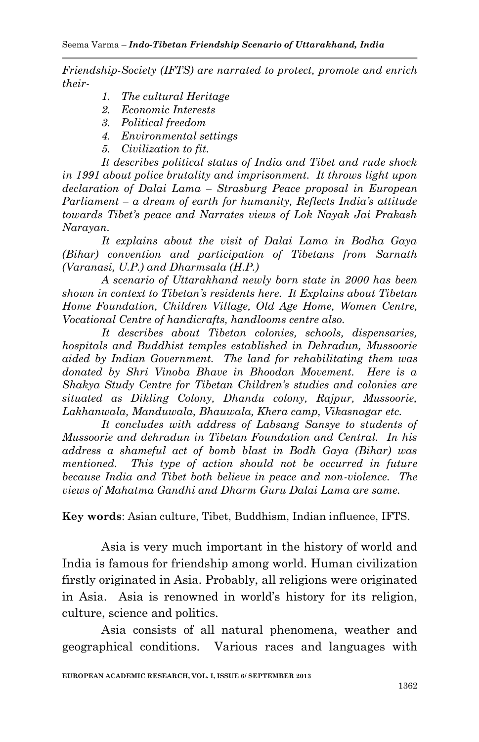*Friendship-Society (IFTS) are narrated to protect, promote and enrich their-*

- *1. The cultural Heritage*
- *2. Economic Interests*
- *3. Political freedom*
- *4. Environmental settings*
- *5. Civilization to fit.*

*It describes political status of India and Tibet and rude shock in 1991 about police brutality and imprisonment. It throws light upon declaration of Dalai Lama – Strasburg Peace proposal in European Parliament – a dream of earth for humanity, Reflects India's attitude towards Tibet's peace and Narrates views of Lok Nayak Jai Prakash Narayan.* 

*It explains about the visit of Dalai Lama in Bodha Gaya (Bihar) convention and participation of Tibetans from Sarnath (Varanasi, U.P.) and Dharmsala (H.P.)* 

*A scenario of Uttarakhand newly born state in 2000 has been shown in context to Tibetan's residents here. It Explains about Tibetan Home Foundation, Children Village, Old Age Home, Women Centre, Vocational Centre of handicrafts, handlooms centre also.* 

*It describes about Tibetan colonies, schools, dispensaries, hospitals and Buddhist temples established in Dehradun, Mussoorie aided by Indian Government. The land for rehabilitating them was donated by Shri Vinoba Bhave in Bhoodan Movement. Here is a Shakya Study Centre for Tibetan Children's studies and colonies are situated as Dikling Colony, Dhandu colony, Rajpur, Mussoorie, Lakhanwala, Manduwala, Bhauwala, Khera camp, Vikasnagar etc.*

*It concludes with address of Labsang Sansye to students of Mussoorie and dehradun in Tibetan Foundation and Central. In his address a shameful act of bomb blast in Bodh Gaya (Bihar) was mentioned. This type of action should not be occurred in future because India and Tibet both believe in peace and non-violence. The views of Mahatma Gandhi and Dharm Guru Dalai Lama are same.*

**Key words**: Asian culture, Tibet, Buddhism, Indian influence, IFTS.

Asia is very much important in the history of world and India is famous for friendship among world. Human civilization firstly originated in Asia. Probably, all religions were originated in Asia. Asia is renowned in world"s history for its religion, culture, science and politics.

Asia consists of all natural phenomena, weather and geographical conditions. Various races and languages with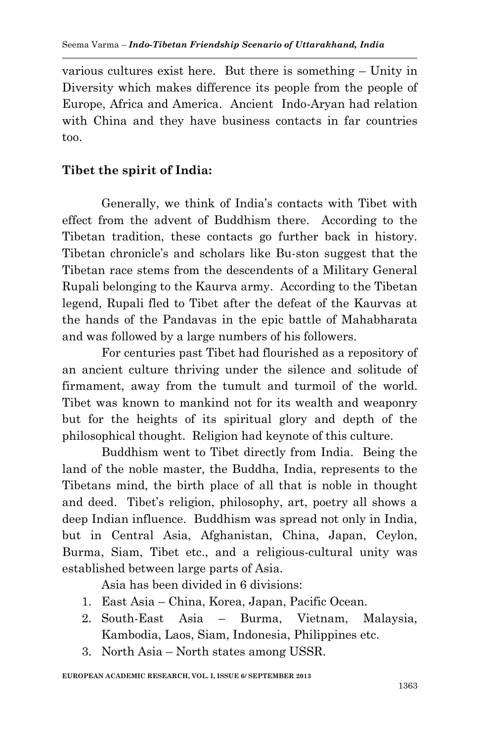various cultures exist here. But there is something – Unity in Diversity which makes difference its people from the people of Europe, Africa and America. Ancient Indo-Aryan had relation with China and they have business contacts in far countries too.

## **Tibet the spirit of India:**

Generally, we think of India"s contacts with Tibet with effect from the advent of Buddhism there. According to the Tibetan tradition, these contacts go further back in history. Tibetan chronicle"s and scholars like Bu-ston suggest that the Tibetan race stems from the descendents of a Military General Rupali belonging to the Kaurva army. According to the Tibetan legend, Rupali fled to Tibet after the defeat of the Kaurvas at the hands of the Pandavas in the epic battle of Mahabharata and was followed by a large numbers of his followers.

For centuries past Tibet had flourished as a repository of an ancient culture thriving under the silence and solitude of firmament, away from the tumult and turmoil of the world. Tibet was known to mankind not for its wealth and weaponry but for the heights of its spiritual glory and depth of the philosophical thought. Religion had keynote of this culture.

Buddhism went to Tibet directly from India. Being the land of the noble master, the Buddha, India, represents to the Tibetans mind, the birth place of all that is noble in thought and deed. Tibet's religion, philosophy, art, poetry all shows a deep Indian influence. Buddhism was spread not only in India, but in Central Asia, Afghanistan, China, Japan, Ceylon, Burma, Siam, Tibet etc., and a religious-cultural unity was established between large parts of Asia.

Asia has been divided in 6 divisions:

- 1. East Asia China, Korea, Japan, Pacific Ocean.
- 2. South-East Asia Burma, Vietnam, Malaysia, Kambodia, Laos, Siam, Indonesia, Philippines etc.
- 3. North Asia North states among USSR.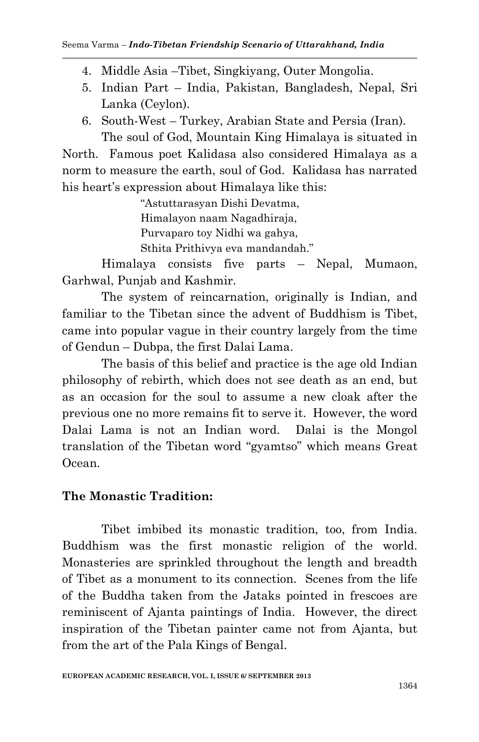#### Seema Varma – *Indo-Tibetan Friendship Scenario of Uttarakhand, India*

- 4. Middle Asia –Tibet, Singkiyang, Outer Mongolia.
- 5. Indian Part India, Pakistan, Bangladesh, Nepal, Sri Lanka (Ceylon).
- 6. South-West Turkey, Arabian State and Persia (Iran). The soul of God, Mountain King Himalaya is situated in

North. Famous poet Kalidasa also considered Himalaya as a norm to measure the earth, soul of God. Kalidasa has narrated his heart's expression about Himalaya like this:

> "Astuttarasyan Dishi Devatma, Himalayon naam Nagadhiraja, Purvaparo toy Nidhi wa gahya, Sthita Prithivya eva mandandah."

Himalaya consists five parts – Nepal, Mumaon, Garhwal, Punjab and Kashmir.

The system of reincarnation, originally is Indian, and familiar to the Tibetan since the advent of Buddhism is Tibet, came into popular vague in their country largely from the time of Gendun – Dubpa, the first Dalai Lama.

The basis of this belief and practice is the age old Indian philosophy of rebirth, which does not see death as an end, but as an occasion for the soul to assume a new cloak after the previous one no more remains fit to serve it. However, the word Dalai Lama is not an Indian word. Dalai is the Mongol translation of the Tibetan word "gyamtso" which means Great Ocean.

#### **The Monastic Tradition:**

Tibet imbibed its monastic tradition, too, from India. Buddhism was the first monastic religion of the world. Monasteries are sprinkled throughout the length and breadth of Tibet as a monument to its connection. Scenes from the life of the Buddha taken from the Jataks pointed in frescoes are reminiscent of Ajanta paintings of India. However, the direct inspiration of the Tibetan painter came not from Ajanta, but from the art of the Pala Kings of Bengal.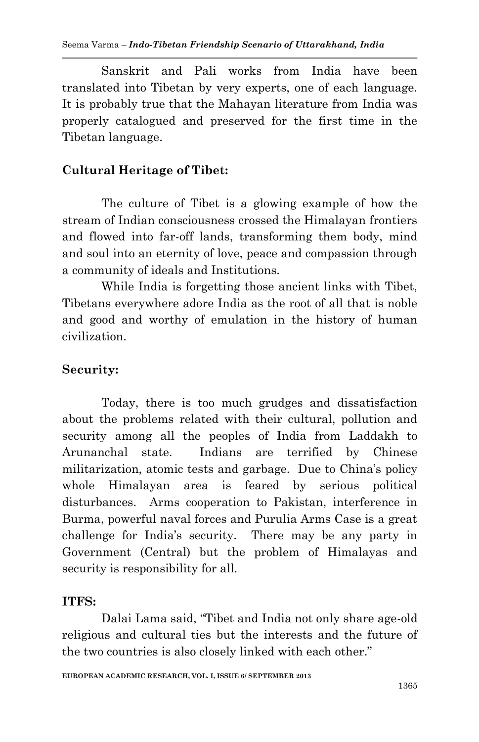Sanskrit and Pali works from India have been translated into Tibetan by very experts, one of each language. It is probably true that the Mahayan literature from India was properly catalogued and preserved for the first time in the Tibetan language.

# **Cultural Heritage of Tibet:**

The culture of Tibet is a glowing example of how the stream of Indian consciousness crossed the Himalayan frontiers and flowed into far-off lands, transforming them body, mind and soul into an eternity of love, peace and compassion through a community of ideals and Institutions.

While India is forgetting those ancient links with Tibet, Tibetans everywhere adore India as the root of all that is noble and good and worthy of emulation in the history of human civilization.

# **Security:**

Today, there is too much grudges and dissatisfaction about the problems related with their cultural, pollution and security among all the peoples of India from Laddakh to Arunanchal state. Indians are terrified by Chinese militarization, atomic tests and garbage. Due to China"s policy whole Himalayan area is feared by serious political disturbances. Arms cooperation to Pakistan, interference in Burma, powerful naval forces and Purulia Arms Case is a great challenge for India"s security. There may be any party in Government (Central) but the problem of Himalayas and security is responsibility for all.

## **ITFS:**

Dalai Lama said, "Tibet and India not only share age-old religious and cultural ties but the interests and the future of the two countries is also closely linked with each other."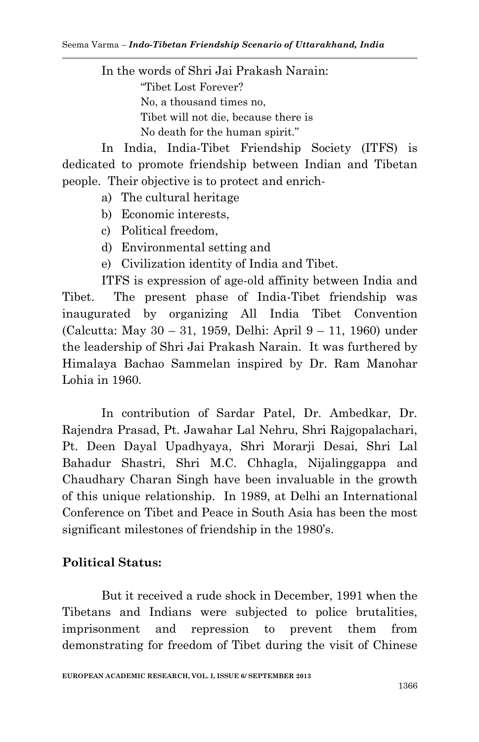In the words of Shri Jai Prakash Narain: "Tibet Lost Forever? No, a thousand times no, Tibet will not die, because there is No death for the human spirit."

In India, India-Tibet Friendship Society (ITFS) is dedicated to promote friendship between Indian and Tibetan people. Their objective is to protect and enrich-

- a) The cultural heritage
- b) Economic interests,
- c) Political freedom,
- d) Environmental setting and
- e) Civilization identity of India and Tibet.

ITFS is expression of age-old affinity between India and Tibet. The present phase of India-Tibet friendship was inaugurated by organizing All India Tibet Convention (Calcutta: May 30 – 31, 1959, Delhi: April 9 – 11, 1960) under the leadership of Shri Jai Prakash Narain. It was furthered by Himalaya Bachao Sammelan inspired by Dr. Ram Manohar Lohia in 1960.

In contribution of Sardar Patel, Dr. Ambedkar, Dr. Rajendra Prasad, Pt. Jawahar Lal Nehru, Shri Rajgopalachari, Pt. Deen Dayal Upadhyaya, Shri Morarji Desai, Shri Lal Bahadur Shastri, Shri M.C. Chhagla, Nijalinggappa and Chaudhary Charan Singh have been invaluable in the growth of this unique relationship. In 1989, at Delhi an International Conference on Tibet and Peace in South Asia has been the most significant milestones of friendship in the 1980's.

#### **Political Status:**

But it received a rude shock in December, 1991 when the Tibetans and Indians were subjected to police brutalities, imprisonment and repression to prevent them from demonstrating for freedom of Tibet during the visit of Chinese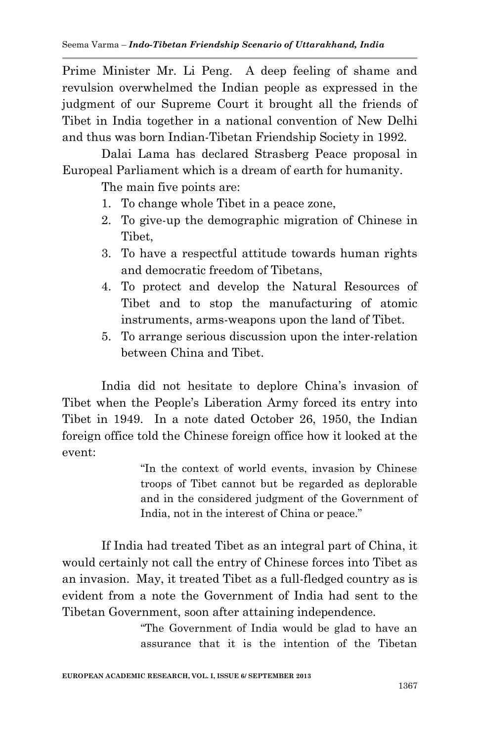Prime Minister Mr. Li Peng. A deep feeling of shame and revulsion overwhelmed the Indian people as expressed in the judgment of our Supreme Court it brought all the friends of Tibet in India together in a national convention of New Delhi and thus was born Indian-Tibetan Friendship Society in 1992.

Dalai Lama has declared Strasberg Peace proposal in Europeal Parliament which is a dream of earth for humanity.

The main five points are:

- 1. To change whole Tibet in a peace zone,
- 2. To give-up the demographic migration of Chinese in Tibet,
- 3. To have a respectful attitude towards human rights and democratic freedom of Tibetans,
- 4. To protect and develop the Natural Resources of Tibet and to stop the manufacturing of atomic instruments, arms-weapons upon the land of Tibet.
- 5. To arrange serious discussion upon the inter-relation between China and Tibet.

India did not hesitate to deplore China's invasion of Tibet when the People"s Liberation Army forced its entry into Tibet in 1949. In a note dated October 26, 1950, the Indian foreign office told the Chinese foreign office how it looked at the event:

> "In the context of world events, invasion by Chinese troops of Tibet cannot but be regarded as deplorable and in the considered judgment of the Government of India, not in the interest of China or peace."

If India had treated Tibet as an integral part of China, it would certainly not call the entry of Chinese forces into Tibet as an invasion. May, it treated Tibet as a full-fledged country as is evident from a note the Government of India had sent to the Tibetan Government, soon after attaining independence.

> "The Government of India would be glad to have an assurance that it is the intention of the Tibetan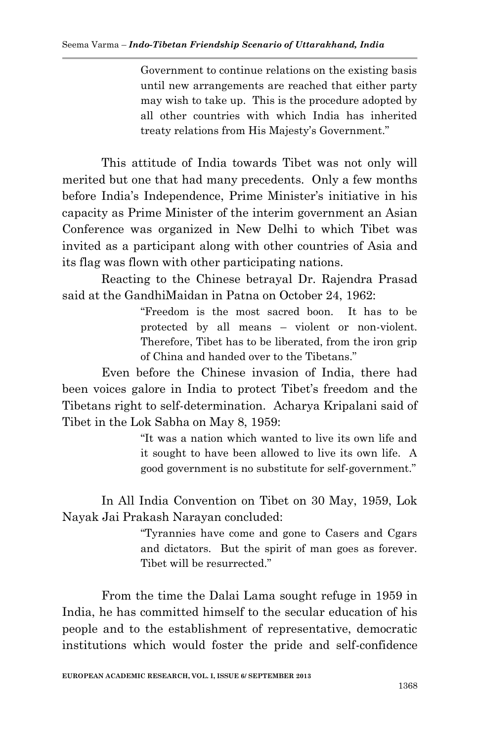Government to continue relations on the existing basis until new arrangements are reached that either party may wish to take up. This is the procedure adopted by all other countries with which India has inherited treaty relations from His Majesty"s Government."

This attitude of India towards Tibet was not only will merited but one that had many precedents. Only a few months before India's Independence, Prime Minister's initiative in his capacity as Prime Minister of the interim government an Asian Conference was organized in New Delhi to which Tibet was invited as a participant along with other countries of Asia and its flag was flown with other participating nations.

Reacting to the Chinese betrayal Dr. Rajendra Prasad said at the GandhiMaidan in Patna on October 24, 1962:

> "Freedom is the most sacred boon. It has to be protected by all means – violent or non-violent. Therefore, Tibet has to be liberated, from the iron grip of China and handed over to the Tibetans."

Even before the Chinese invasion of India, there had been voices galore in India to protect Tibet's freedom and the Tibetans right to self-determination. Acharya Kripalani said of Tibet in the Lok Sabha on May 8, 1959:

> "It was a nation which wanted to live its own life and it sought to have been allowed to live its own life. A good government is no substitute for self-government."

In All India Convention on Tibet on 30 May, 1959, Lok Nayak Jai Prakash Narayan concluded:

> "Tyrannies have come and gone to Casers and Cgars and dictators. But the spirit of man goes as forever. Tibet will be resurrected."

From the time the Dalai Lama sought refuge in 1959 in India, he has committed himself to the secular education of his people and to the establishment of representative, democratic institutions which would foster the pride and self-confidence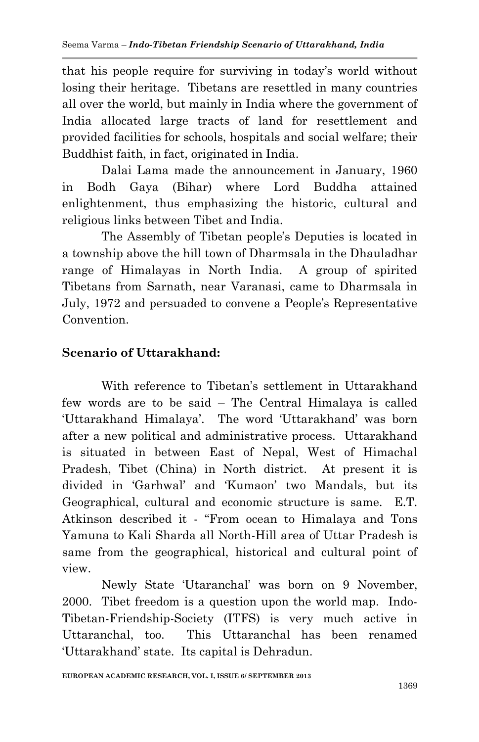that his people require for surviving in today"s world without losing their heritage. Tibetans are resettled in many countries all over the world, but mainly in India where the government of India allocated large tracts of land for resettlement and provided facilities for schools, hospitals and social welfare; their Buddhist faith, in fact, originated in India.

Dalai Lama made the announcement in January, 1960 in Bodh Gaya (Bihar) where Lord Buddha attained enlightenment, thus emphasizing the historic, cultural and religious links between Tibet and India.

The Assembly of Tibetan people"s Deputies is located in a township above the hill town of Dharmsala in the Dhauladhar range of Himalayas in North India. A group of spirited Tibetans from Sarnath, near Varanasi, came to Dharmsala in July, 1972 and persuaded to convene a People"s Representative **Convention** 

# **Scenario of Uttarakhand:**

With reference to Tibetan's settlement in Uttarakhand few words are to be said – The Central Himalaya is called "Uttarakhand Himalaya". The word "Uttarakhand" was born after a new political and administrative process. Uttarakhand is situated in between East of Nepal, West of Himachal Pradesh, Tibet (China) in North district. At present it is divided in "Garhwal" and "Kumaon" two Mandals, but its Geographical, cultural and economic structure is same. E.T. Atkinson described it - "From ocean to Himalaya and Tons Yamuna to Kali Sharda all North-Hill area of Uttar Pradesh is same from the geographical, historical and cultural point of view.

Newly State "Utaranchal" was born on 9 November, 2000. Tibet freedom is a question upon the world map. Indo-Tibetan-Friendship-Society (ITFS) is very much active in Uttaranchal, too. This Uttaranchal has been renamed "Uttarakhand" state. Its capital is Dehradun.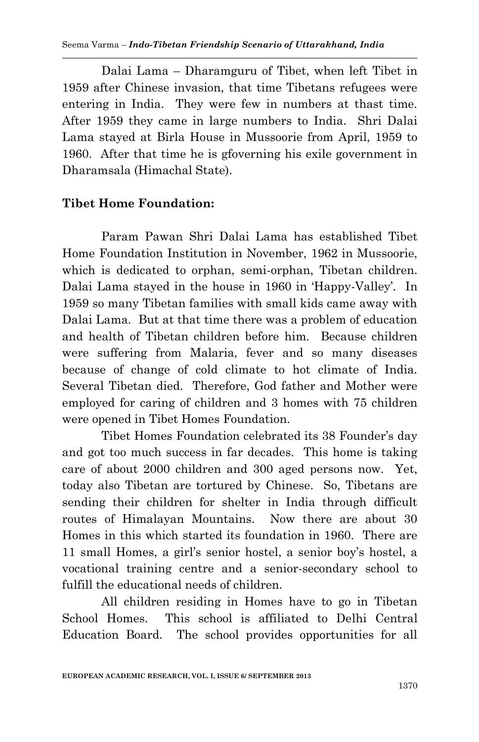Dalai Lama – Dharamguru of Tibet, when left Tibet in 1959 after Chinese invasion, that time Tibetans refugees were entering in India. They were few in numbers at thast time. After 1959 they came in large numbers to India. Shri Dalai Lama stayed at Birla House in Mussoorie from April, 1959 to 1960. After that time he is gfoverning his exile government in Dharamsala (Himachal State).

## **Tibet Home Foundation:**

Param Pawan Shri Dalai Lama has established Tibet Home Foundation Institution in November, 1962 in Mussoorie, which is dedicated to orphan, semi-orphan, Tibetan children. Dalai Lama stayed in the house in 1960 in 'Happy-Valley'. In 1959 so many Tibetan families with small kids came away with Dalai Lama. But at that time there was a problem of education and health of Tibetan children before him. Because children were suffering from Malaria, fever and so many diseases because of change of cold climate to hot climate of India. Several Tibetan died. Therefore, God father and Mother were employed for caring of children and 3 homes with 75 children were opened in Tibet Homes Foundation.

Tibet Homes Foundation celebrated its 38 Founder's day and got too much success in far decades. This home is taking care of about 2000 children and 300 aged persons now. Yet, today also Tibetan are tortured by Chinese. So, Tibetans are sending their children for shelter in India through difficult routes of Himalayan Mountains. Now there are about 30 Homes in this which started its foundation in 1960. There are 11 small Homes, a girl"s senior hostel, a senior boy"s hostel, a vocational training centre and a senior-secondary school to fulfill the educational needs of children.

All children residing in Homes have to go in Tibetan School Homes. This school is affiliated to Delhi Central Education Board. The school provides opportunities for all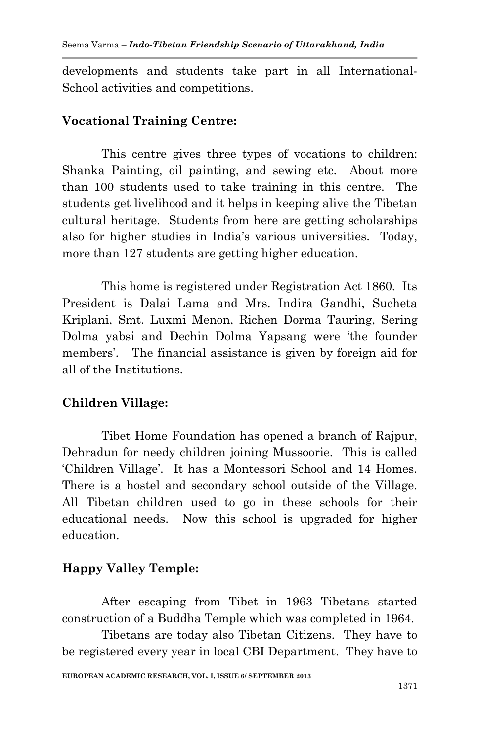developments and students take part in all International-School activities and competitions.

#### **Vocational Training Centre:**

This centre gives three types of vocations to children: Shanka Painting, oil painting, and sewing etc. About more than 100 students used to take training in this centre. The students get livelihood and it helps in keeping alive the Tibetan cultural heritage. Students from here are getting scholarships also for higher studies in India"s various universities. Today, more than 127 students are getting higher education.

This home is registered under Registration Act 1860. Its President is Dalai Lama and Mrs. Indira Gandhi, Sucheta Kriplani, Smt. Luxmi Menon, Richen Dorma Tauring, Sering Dolma yabsi and Dechin Dolma Yapsang were "the founder members'. The financial assistance is given by foreign aid for all of the Institutions.

### **Children Village:**

Tibet Home Foundation has opened a branch of Rajpur, Dehradun for needy children joining Mussoorie. This is called "Children Village". It has a Montessori School and 14 Homes. There is a hostel and secondary school outside of the Village. All Tibetan children used to go in these schools for their educational needs. Now this school is upgraded for higher education.

### **Happy Valley Temple:**

After escaping from Tibet in 1963 Tibetans started construction of a Buddha Temple which was completed in 1964.

Tibetans are today also Tibetan Citizens. They have to be registered every year in local CBI Department. They have to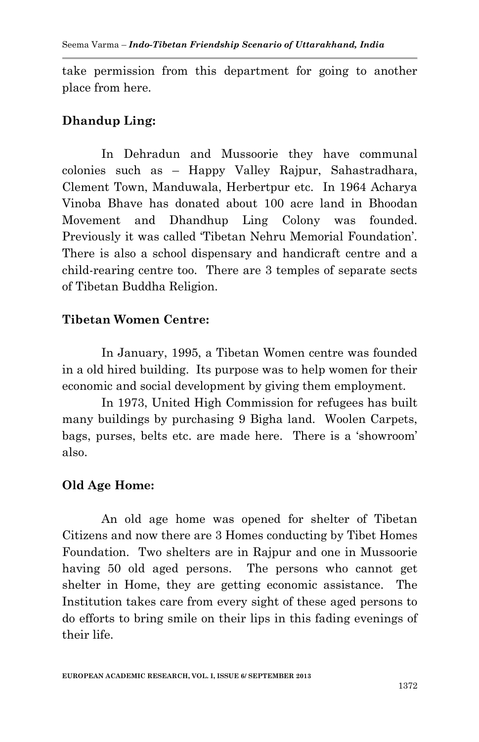take permission from this department for going to another place from here.

### **Dhandup Ling:**

In Dehradun and Mussoorie they have communal colonies such as – Happy Valley Rajpur, Sahastradhara, Clement Town, Manduwala, Herbertpur etc. In 1964 Acharya Vinoba Bhave has donated about 100 acre land in Bhoodan Movement and Dhandhup Ling Colony was founded. Previously it was called 'Tibetan Nehru Memorial Foundation'. There is also a school dispensary and handicraft centre and a child-rearing centre too. There are 3 temples of separate sects of Tibetan Buddha Religion.

### **Tibetan Women Centre:**

In January, 1995, a Tibetan Women centre was founded in a old hired building. Its purpose was to help women for their economic and social development by giving them employment.

In 1973, United High Commission for refugees has built many buildings by purchasing 9 Bigha land. Woolen Carpets, bags, purses, belts etc. are made here. There is a "showroom" also.

## **Old Age Home:**

An old age home was opened for shelter of Tibetan Citizens and now there are 3 Homes conducting by Tibet Homes Foundation. Two shelters are in Rajpur and one in Mussoorie having 50 old aged persons. The persons who cannot get shelter in Home, they are getting economic assistance. The Institution takes care from every sight of these aged persons to do efforts to bring smile on their lips in this fading evenings of their life.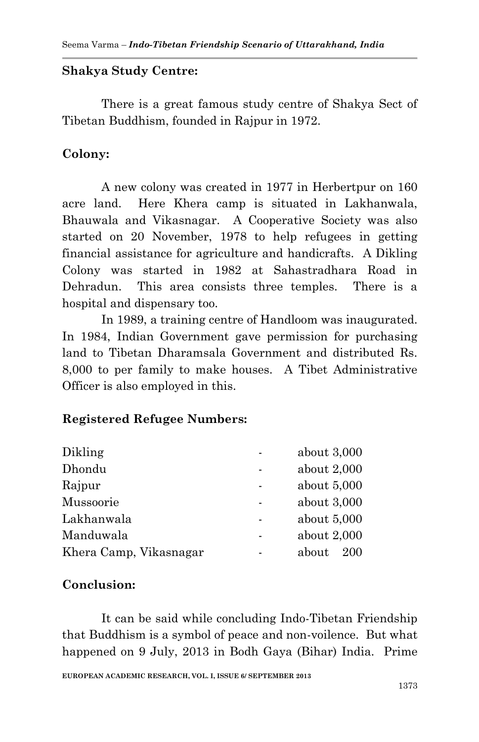#### **Shakya Study Centre:**

There is a great famous study centre of Shakya Sect of Tibetan Buddhism, founded in Rajpur in 1972.

## **Colony:**

A new colony was created in 1977 in Herbertpur on 160 acre land. Here Khera camp is situated in Lakhanwala, Bhauwala and Vikasnagar. A Cooperative Society was also started on 20 November, 1978 to help refugees in getting financial assistance for agriculture and handicrafts. A Dikling Colony was started in 1982 at Sahastradhara Road in Dehradun. This area consists three temples. There is a hospital and dispensary too.

In 1989, a training centre of Handloom was inaugurated. In 1984, Indian Government gave permission for purchasing land to Tibetan Dharamsala Government and distributed Rs. 8,000 to per family to make houses. A Tibet Administrative Officer is also employed in this.

### **Registered Refugee Numbers:**

| about $3,000$ |
|---------------|
| about $2,000$ |
| about $5,000$ |
| about $3,000$ |
| about $5,000$ |
| about $2,000$ |
| about<br>200  |
|               |

### **Conclusion:**

It can be said while concluding Indo-Tibetan Friendship that Buddhism is a symbol of peace and non-voilence. But what happened on 9 July, 2013 in Bodh Gaya (Bihar) India. Prime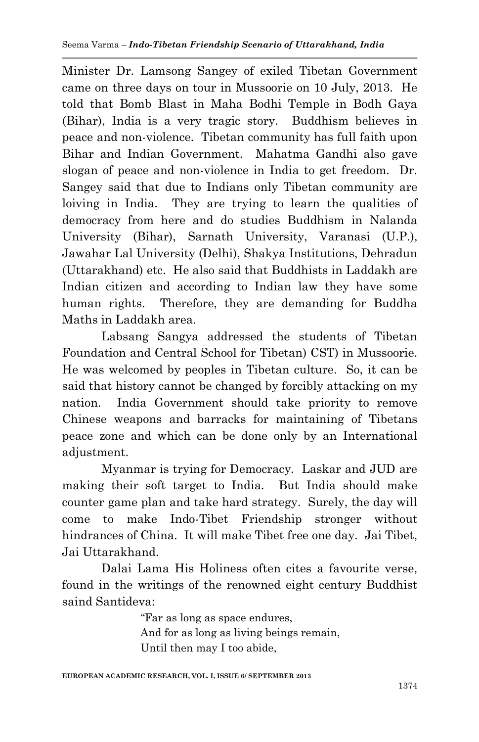Minister Dr. Lamsong Sangey of exiled Tibetan Government came on three days on tour in Mussoorie on 10 July, 2013. He told that Bomb Blast in Maha Bodhi Temple in Bodh Gaya (Bihar), India is a very tragic story. Buddhism believes in peace and non-violence. Tibetan community has full faith upon Bihar and Indian Government. Mahatma Gandhi also gave slogan of peace and non-violence in India to get freedom. Dr. Sangey said that due to Indians only Tibetan community are loiving in India. They are trying to learn the qualities of democracy from here and do studies Buddhism in Nalanda University (Bihar), Sarnath University, Varanasi (U.P.), Jawahar Lal University (Delhi), Shakya Institutions, Dehradun (Uttarakhand) etc. He also said that Buddhists in Laddakh are Indian citizen and according to Indian law they have some human rights. Therefore, they are demanding for Buddha Maths in Laddakh area.

Labsang Sangya addressed the students of Tibetan Foundation and Central School for Tibetan) CST) in Mussoorie. He was welcomed by peoples in Tibetan culture. So, it can be said that history cannot be changed by forcibly attacking on my nation. India Government should take priority to remove Chinese weapons and barracks for maintaining of Tibetans peace zone and which can be done only by an International adjustment.

Myanmar is trying for Democracy. Laskar and JUD are making their soft target to India. But India should make counter game plan and take hard strategy. Surely, the day will come to make Indo-Tibet Friendship stronger without hindrances of China. It will make Tibet free one day. Jai Tibet, Jai Uttarakhand.

Dalai Lama His Holiness often cites a favourite verse, found in the writings of the renowned eight century Buddhist saind Santideva:

> "Far as long as space endures, And for as long as living beings remain, Until then may I too abide,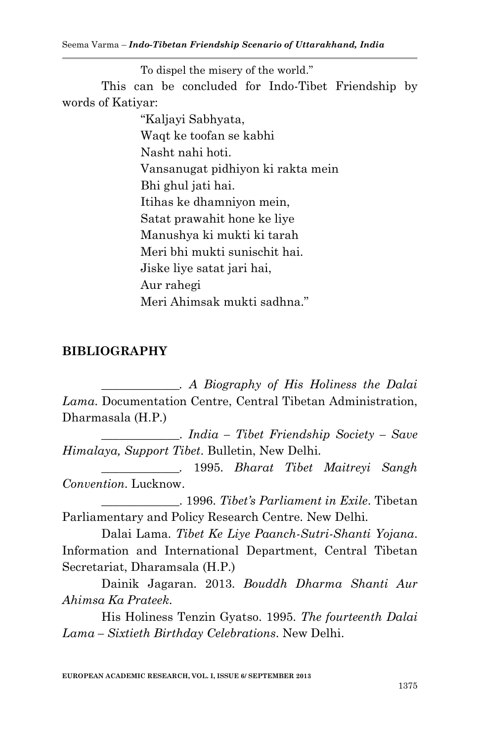Seema Varma – *Indo-Tibetan Friendship Scenario of Uttarakhand, India*

To dispel the misery of the world." This can be concluded for Indo-Tibet Friendship by words of Katiyar:

> "Kaljayi Sabhyata, Waqt ke toofan se kabhi Nasht nahi hoti. Vansanugat pidhiyon ki rakta mein Bhi ghul jati hai. Itihas ke dhamniyon mein, Satat prawahit hone ke liye Manushya ki mukti ki tarah Meri bhi mukti sunischit hai. Jiske liye satat jari hai, Aur rahegi Meri Ahimsak mukti sadhna."

## **BIBLIOGRAPHY**

*\_\_\_\_\_\_\_\_\_\_\_\_\_. A Biography of His Holiness the Dalai Lama*. Documentation Centre, Central Tibetan Administration, Dharmasala (H.P.)

\_\_\_\_\_\_\_\_\_\_\_\_\_. *India – Tibet Friendship Society – Save Himalaya, Support Tibet*. Bulletin, New Delhi.

*\_\_\_\_\_\_\_\_\_\_\_\_\_.* 1995. *Bharat Tibet Maitreyi Sangh Convention*. Lucknow.

\_\_\_\_\_\_\_\_\_\_\_\_\_. 1996. *Tibet's Parliament in Exile*. Tibetan Parliamentary and Policy Research Centre. New Delhi.

Dalai Lama. *Tibet Ke Liye Paanch-Sutri-Shanti Yojana*. Information and International Department, Central Tibetan Secretariat, Dharamsala (H.P.)

Dainik Jagaran. 2013. *Bouddh Dharma Shanti Aur Ahimsa Ka Prateek*.

His Holiness Tenzin Gyatso. 1995. *The fourteenth Dalai Lama – Sixtieth Birthday Celebrations*. New Delhi.